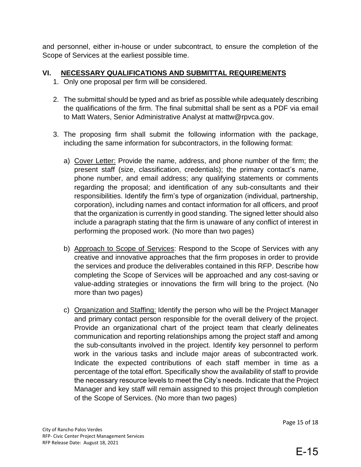and personnel, either in-house or under subcontract, to ensure the completion of the Scope of Services at the earliest possible time.

## **VI. NECESSARY QUALIFICATIONS AND SUBMITTAL REQUIREMENTS**

- 1. Only one proposal per firm will be considered.
- 2. The submittal should be typed and as brief as possible while adequately describing the qualifications of the firm. The final submittal shall be sent as a PDF via email to Matt Waters, Senior Administrative Analyst at mattw@rpvca.gov.
- 3. The proposing firm shall submit the following information with the package, including the same information for subcontractors, in the following format:
	- a) Cover Letter: Provide the name, address, and phone number of the firm; the present staff (size, classification, credentials); the primary contact's name, phone number, and email address; any qualifying statements or comments regarding the proposal; and identification of any sub-consultants and their responsibilities. Identify the firm's type of organization (individual, partnership, corporation), including names and contact information for all officers, and proof that the organization is currently in good standing. The signed letter should also include a paragraph stating that the firm is unaware of any conflict of interest in performing the proposed work. (No more than two pages)
	- b) Approach to Scope of Services: Respond to the Scope of Services with any creative and innovative approaches that the firm proposes in order to provide the services and produce the deliverables contained in this RFP. Describe how completing the Scope of Services will be approached and any cost-saving or value-adding strategies or innovations the firm will bring to the project. (No more than two pages)
	- c) Organization and Staffing: Identify the person who will be the Project Manager and primary contact person responsible for the overall delivery of the project. Provide an organizational chart of the project team that clearly delineates communication and reporting relationships among the project staff and among the sub-consultants involved in the project. Identify key personnel to perform work in the various tasks and include major areas of subcontracted work. Indicate the expected contributions of each staff member in time as a percentage of the total effort. Specifically show the availability of staff to provide the necessary resource levels to meet the City's needs. Indicate that the Project Manager and key staff will remain assigned to this project through completion of the Scope of Services. (No more than two pages)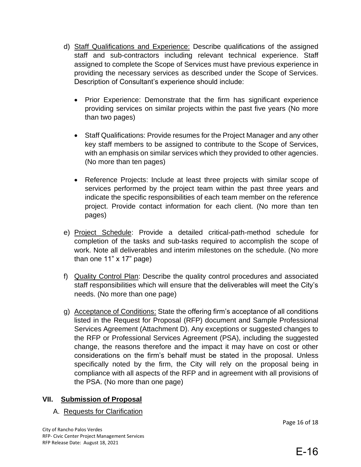- d) Staff Qualifications and Experience: Describe qualifications of the assigned staff and sub-contractors including relevant technical experience. Staff assigned to complete the Scope of Services must have previous experience in providing the necessary services as described under the Scope of Services. Description of Consultant's experience should include:
	- Prior Experience: Demonstrate that the firm has significant experience providing services on similar projects within the past five years (No more than two pages)
	- Staff Qualifications: Provide resumes for the Project Manager and any other key staff members to be assigned to contribute to the Scope of Services, with an emphasis on similar services which they provided to other agencies. (No more than ten pages)
	- Reference Projects: Include at least three projects with similar scope of services performed by the project team within the past three years and indicate the specific responsibilities of each team member on the reference project. Provide contact information for each client. (No more than ten pages)
- e) Project Schedule: Provide a detailed critical-path-method schedule for completion of the tasks and sub-tasks required to accomplish the scope of work. Note all deliverables and interim milestones on the schedule. (No more than one 11" x 17" page)
- f) Quality Control Plan: Describe the quality control procedures and associated staff responsibilities which will ensure that the deliverables will meet the City's needs. (No more than one page)
- g) Acceptance of Conditions: State the offering firm's acceptance of all conditions listed in the Request for Proposal (RFP) document and Sample Professional Services Agreement (Attachment D). Any exceptions or suggested changes to the RFP or Professional Services Agreement (PSA), including the suggested change, the reasons therefore and the impact it may have on cost or other considerations on the firm's behalf must be stated in the proposal. Unless specifically noted by the firm, the City will rely on the proposal being in compliance with all aspects of the RFP and in agreement with all provisions of the PSA. (No more than one page)

## **VII. Submission of Proposal**

## A. Requests for Clarification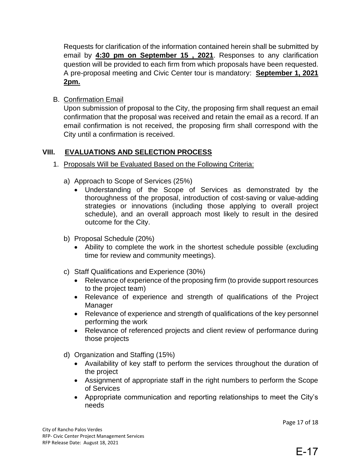Requests for clarification of the information contained herein shall be submitted by email by **4:30 pm on September 15 , 2021**. Responses to any clarification question will be provided to each firm from which proposals have been requested. A pre-proposal meeting and Civic Center tour is mandatory: **September 1, 2021 2pm.**

B. Confirmation Email

Upon submission of proposal to the City, the proposing firm shall request an email confirmation that the proposal was received and retain the email as a record. If an email confirmation is not received, the proposing firm shall correspond with the City until a confirmation is received.

# **VIII. EVALUATIONS AND SELECTION PROCESS**

- 1. Proposals Will be Evaluated Based on the Following Criteria:
	- a) Approach to Scope of Services (25%)
		- Understanding of the Scope of Services as demonstrated by the thoroughness of the proposal, introduction of cost-saving or value-adding strategies or innovations (including those applying to overall project schedule), and an overall approach most likely to result in the desired outcome for the City.
	- b) Proposal Schedule (20%)
		- Ability to complete the work in the shortest schedule possible (excluding time for review and community meetings).
	- c) Staff Qualifications and Experience (30%)
		- Relevance of experience of the proposing firm (to provide support resources to the project team)
		- Relevance of experience and strength of qualifications of the Project Manager
		- Relevance of experience and strength of qualifications of the key personnel performing the work
		- Relevance of referenced projects and client review of performance during those projects
	- d) Organization and Staffing (15%)
		- Availability of key staff to perform the services throughout the duration of the project
		- Assignment of appropriate staff in the right numbers to perform the Scope of Services
		- Appropriate communication and reporting relationships to meet the City's needs